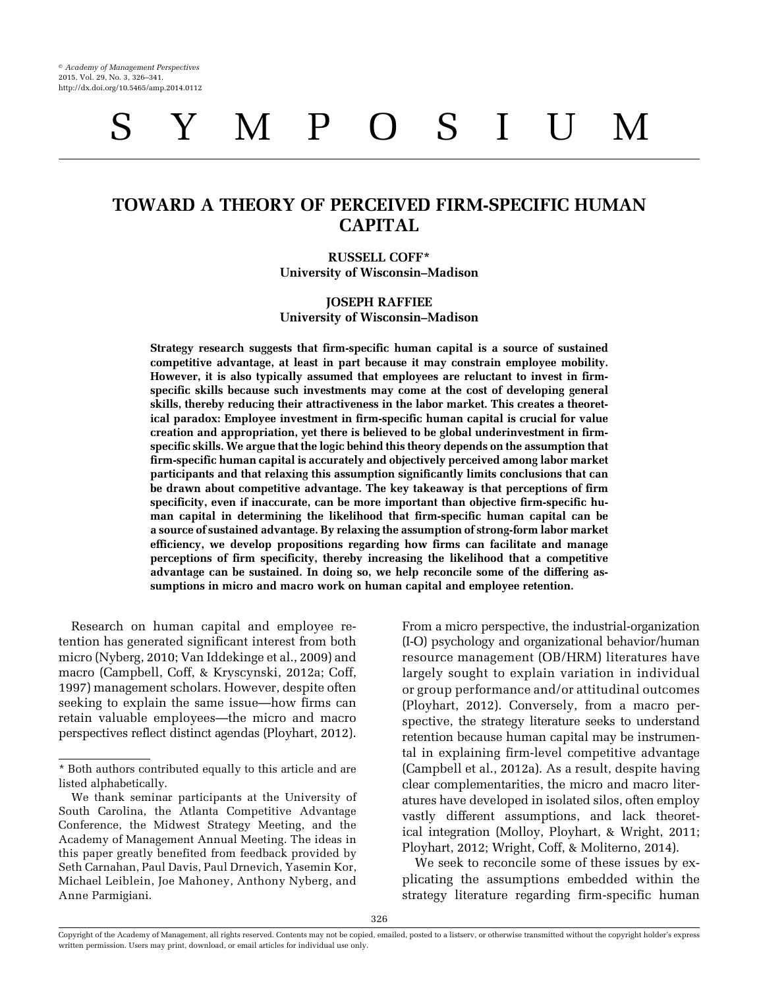# Y M P O S I U

# TOWARD A THEORY OF PERCEIVED FIRM-SPECIFIC HUMAN CAPITAL

#### RUSSELL COFF\* University of Wisconsin–Madison

## JOSEPH RAFFIEE University of Wisconsin–Madison

Strategy research suggests that firm-specific human capital is a source of sustained competitive advantage, at least in part because it may constrain employee mobility. However, it is also typically assumed that employees are reluctant to invest in firmspecific skills because such investments may come at the cost of developing general skills, thereby reducing their attractiveness in the labor market. This creates a theoretical paradox: Employee investment in firm-specific human capital is crucial for value creation and appropriation, yet there is believed to be global underinvestment in firmspecific skills. We argue that the logic behind this theory depends on the assumption that firm-specific human capital is accurately and objectively perceived among labor market participants and that relaxing this assumption significantly limits conclusions that can be drawn about competitive advantage. The key takeaway is that perceptions of firm specificity, even if inaccurate, can be more important than objective firm-specific human capital in determining the likelihood that firm-specific human capital can be a source of sustained advantage. By relaxing the assumption of strong-form labor market efficiency, we develop propositions regarding how firms can facilitate and manage perceptions of firm specificity, thereby increasing the likelihood that a competitive advantage can be sustained. In doing so, we help reconcile some of the differing assumptions in micro and macro work on human capital and employee retention.

Research on human capital and employee retention has generated significant interest from both micro ([Nyberg, 2010; Van Iddekinge et al., 2009\)](#page-14-0) and macro [\(Campbell, Coff, & Kryscynski, 2012a](#page-12-0); [Coff,](#page-12-0) [1997\)](#page-12-0) management scholars. However, despite often seeking to explain the same issue—how firms can retain valuable employees—the micro and macro perspectives reflect distinct agendas [\(Ployhart, 2012](#page-14-0)). From a micro perspective, the industrial-organization (I-O) psychology and organizational behavior/human resource management (OB/HRM) literatures have largely sought to explain variation in individual or group performance and/or attitudinal outcomes [\(Ployhart, 2012](#page-14-0)). Conversely, from a macro perspective, the strategy literature seeks to understand retention because human capital may be instrumental in explaining firm-level competitive advantage [\(Campbell et al., 2012a\)](#page-12-0). As a result, despite having clear complementarities, the micro and macro literatures have developed in isolated silos, often employ vastly different assumptions, and lack theoretical integration [\(Molloy, Ployhart, & Wright, 2011](#page-14-0); [Ployhart, 2012; Wright, Coff, & Moliterno, 2014](#page-14-0)).

We seek to reconcile some of these issues by explicating the assumptions embedded within the strategy literature regarding firm-specific human

<sup>\*</sup> Both authors contributed equally to this article and are listed alphabetically.

We thank seminar participants at the University of South Carolina, the Atlanta Competitive Advantage Conference, the Midwest Strategy Meeting, and the Academy of Management Annual Meeting. The ideas in this paper greatly benefited from feedback provided by Seth Carnahan, Paul Davis, Paul Drnevich, Yasemin Kor, Michael Leiblein, Joe Mahoney, Anthony Nyberg, and Anne Parmigiani.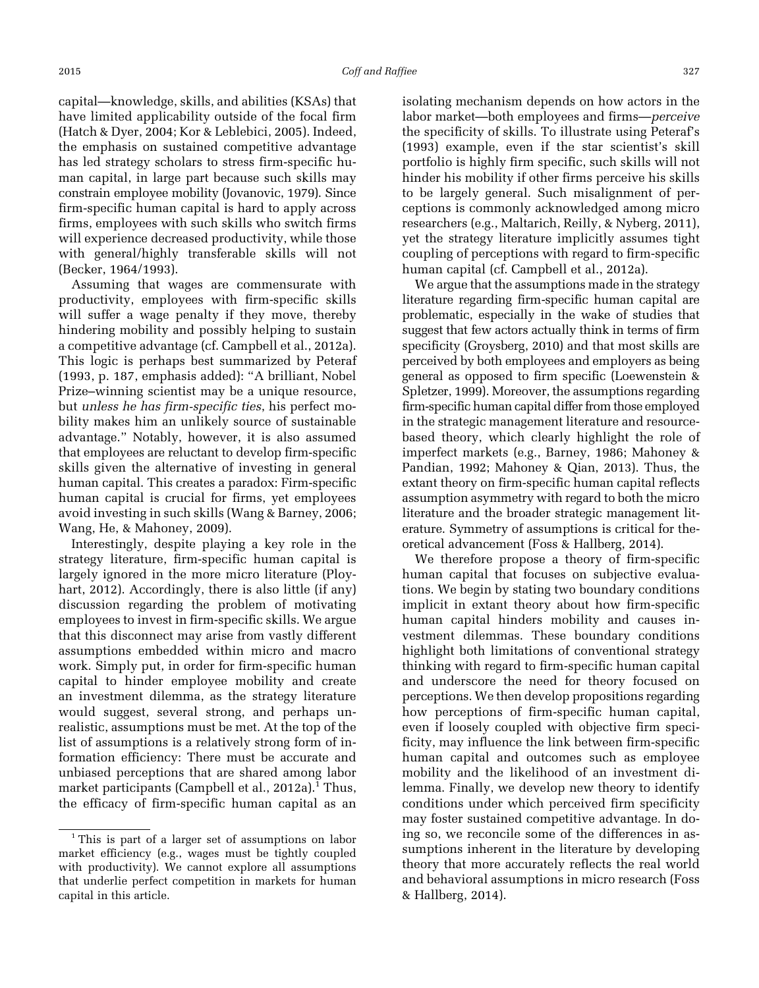capital—knowledge, skills, and abilities (KSAs) that have limited applicability outside of the focal firm [\(Hatch & Dyer, 2004; Kor & Leblebici, 2005\)](#page-13-0). Indeed, the emphasis on sustained competitive advantage has led strategy scholars to stress firm-specific human capital, in large part because such skills may constrain employee mobility [\(Jovanovic, 1979](#page-13-0)). Since firm-specific human capital is hard to apply across firms, employees with such skills who switch firms will experience decreased productivity, while those with general/highly transferable skills will not [\(Becker, 1964/1993\)](#page-12-0).

Assuming that wages are commensurate with productivity, employees with firm-specific skills will suffer a wage penalty if they move, thereby hindering mobility and possibly helping to sustain a competitive advantage (cf. [Campbell et al., 2012a](#page-12-0)). This logic is perhaps best summarized by Peteraf (1993, p. 187, emphasis added): "A brilliant, Nobel Prize–winning scientist may be a unique resource, but unless he has firm-specific ties, his perfect mobility makes him an unlikely source of sustainable advantage." Notably, however, it is also assumed that employees are reluctant to develop firm-specific skills given the alternative of investing in general human capital. This creates a paradox: Firm-specific human capital is crucial for firms, yet employees avoid investing in such skills ([Wang & Barney, 2006](#page-14-0); [Wang, He, & Mahoney, 2009\)](#page-14-0).

Interestingly, despite playing a key role in the strategy literature, firm-specific human capital is largely ignored in the more micro literature ([Ploy](#page-14-0)[hart, 2012](#page-14-0)). Accordingly, there is also little (if any) discussion regarding the problem of motivating employees to invest in firm-specific skills. We argue that this disconnect may arise from vastly different assumptions embedded within micro and macro work. Simply put, in order for firm-specific human capital to hinder employee mobility and create an investment dilemma, as the strategy literature would suggest, several strong, and perhaps unrealistic, assumptions must be met. At the top of the list of assumptions is a relatively strong form of information efficiency: There must be accurate and unbiased perceptions that are shared among labor market participants [\(Campbell et al., 2012a](#page-12-0)).<sup>1</sup> Thus, the efficacy of firm-specific human capital as an

isolating mechanism depends on how actors in the labor market—both employees and firms—perceive the specificity of skills. To illustrate using [Peteraf](#page-14-0)'s [\(1993\)](#page-14-0) example, even if the star scientist's skill portfolio is highly firm specific, such skills will not hinder his mobility if other firms perceive his skills to be largely general. Such misalignment of perceptions is commonly acknowledged among micro researchers (e.g., [Maltarich, Reilly, & Nyberg, 2011](#page-13-0)), yet the strategy literature implicitly assumes tight coupling of perceptions with regard to firm-specific human capital (cf. [Campbell et al., 2012a\)](#page-12-0).

We argue that the assumptions made in the strategy literature regarding firm-specific human capital are problematic, especially in the wake of studies that suggest that few actors actually think in terms of firm specificity [\(Groysberg, 2010](#page-13-0)) and that most skills are perceived by both employees and employers as being general as opposed to firm specific [\(Loewenstein &](#page-13-0) [Spletzer, 1999](#page-13-0)). Moreover, the assumptions regarding firm-specific human capital differ from those employed in the strategic management literature and resourcebased theory, which clearly highlight the role of imperfect markets (e.g., [Barney, 1986](#page-12-0); [Mahoney &](#page-13-0) [Pandian, 1992; Mahoney & Qian, 2013](#page-13-0)). Thus, the extant theory on firm-specific human capital reflects assumption asymmetry with regard to both the micro literature and the broader strategic management literature. Symmetry of assumptions is critical for theoretical advancement ([Foss & Hallberg, 2014](#page-12-0)).

We therefore propose a theory of firm-specific human capital that focuses on subjective evaluations. We begin by stating two boundary conditions implicit in extant theory about how firm-specific human capital hinders mobility and causes investment dilemmas. These boundary conditions highlight both limitations of conventional strategy thinking with regard to firm-specific human capital and underscore the need for theory focused on perceptions. We then develop propositions regarding how perceptions of firm-specific human capital, even if loosely coupled with objective firm specificity, may influence the link between firm-specific human capital and outcomes such as employee mobility and the likelihood of an investment dilemma. Finally, we develop new theory to identify conditions under which perceived firm specificity may foster sustained competitive advantage. In doing so, we reconcile some of the differences in assumptions inherent in the literature by developing theory that more accurately reflects the real world and behavioral assumptions in micro research ([Foss](#page-12-0) [& Hallberg, 2014\)](#page-12-0).

<sup>&</sup>lt;sup>1</sup> This is part of a larger set of assumptions on labor market efficiency (e.g., wages must be tightly coupled with productivity). We cannot explore all assumptions that underlie perfect competition in markets for human capital in this article.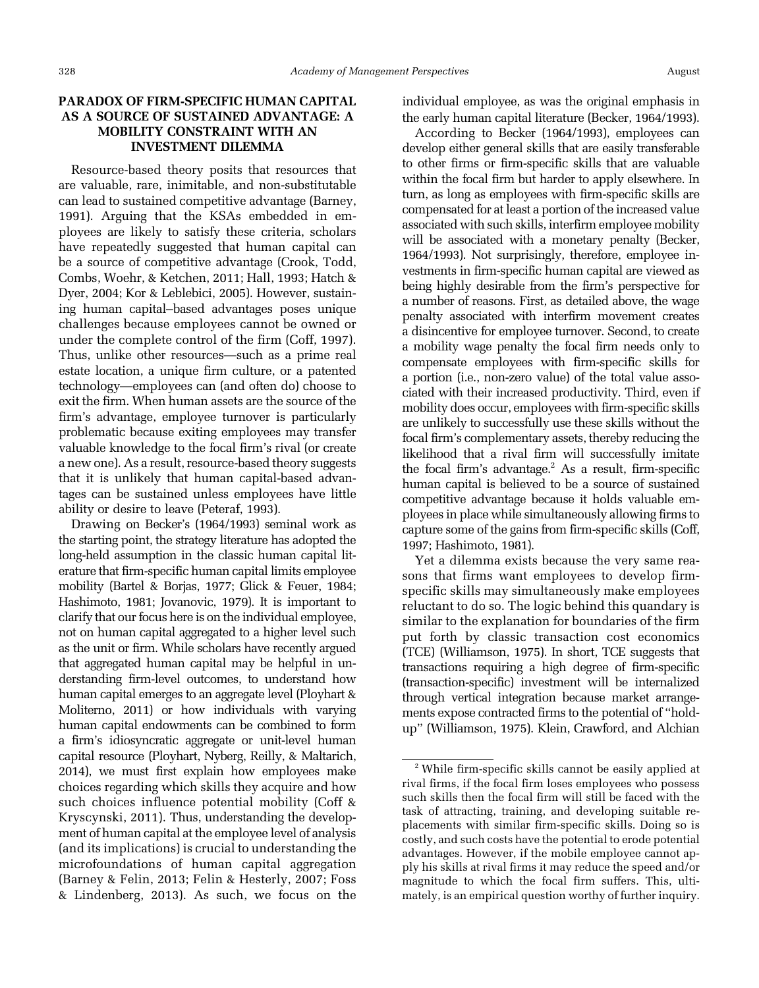# PARADOX OF FIRM-SPECIFIC HUMAN CAPITAL AS A SOURCE OF SUSTAINED ADVANTAGE: A MOBILITY CONSTRAINT WITH AN INVESTMENT DILEMMA

Resource-based theory posits that resources that are valuable, rare, inimitable, and non-substitutable can lead to sustained competitive advantage [\(Barney,](#page-12-0) [1991](#page-12-0)). Arguing that the KSAs embedded in employees are likely to satisfy these criteria, scholars have repeatedly suggested that human capital can be a source of competitive advantage [\(Crook, Todd,](#page-12-0) [Combs, Woehr, & Ketchen, 2011](#page-12-0); [Hall, 1993](#page-13-0); [Hatch &](#page-13-0) [Dyer, 2004](#page-13-0); [Kor & Leblebici, 2005](#page-13-0)). However, sustaining human capital–based advantages poses unique challenges because employees cannot be owned or under the complete control of the firm ([Coff, 1997](#page-12-0)). Thus, unlike other resources—such as a prime real estate location, a unique firm culture, or a patented technology—employees can (and often do) choose to exit the firm. When human assets are the source of the firm's advantage, employee turnover is particularly problematic because exiting employees may transfer valuable knowledge to the focal firm's rival (or create a new one). As a result, resource-based theory suggests that it is unlikely that human capital-based advantages can be sustained unless employees have little ability or desire to leave ([Peteraf, 1993](#page-14-0)).

Drawing on Becker'[s \(1964/1993\)](#page-12-0) seminal work as the starting point, the strategy literature has adopted the long-held assumption in the classic human capital literature that firm-specific human capital limits employee mobility [\(Bartel & Borjas, 1977](#page-12-0); [Glick & Feuer, 1984](#page-13-0); [Hashimoto, 1981](#page-13-0); [Jovanovic, 1979\)](#page-13-0). It is important to clarify that our focus here is on the individual employee, not on human capital aggregated to a higher level such as the unit or firm. While scholars have recently argued that aggregated human capital may be helpful in understanding firm-level outcomes, to understand how human capital emerges to an aggregate level [\(Ployhart &](#page-14-0) [Moliterno, 2011\)](#page-14-0) or how individuals with varying human capital endowments can be combined to form a firm's idiosyncratic aggregate or unit-level human capital resource [\(Ployhart, Nyberg, Reilly, & Maltarich,](#page-14-0) [2014](#page-14-0)), we must first explain how employees make choices regarding which skills they acquire and how such choices influence potential mobility [\(Coff &](#page-12-0) [Kryscynski, 2011](#page-12-0)). Thus, understanding the development of human capital at the employee level of analysis (and its implications) is crucial to understanding the microfoundations of human capital aggregation [\(Barney & Felin, 2013](#page-12-0); [Felin & Hesterly, 2007; Foss](#page-12-0) [& Lindenberg, 2013](#page-12-0)). As such, we focus on the

individual employee, as was the original emphasis in the early human capital literature [\(Becker, 1964/1993](#page-12-0)).

According to [Becker \(1964/1993\),](#page-12-0) employees can develop either general skills that are easily transferable to other firms or firm-specific skills that are valuable within the focal firm but harder to apply elsewhere. In turn, as long as employees with firm-specific skills are compensated for at least a portion of the increased value associated with such skills, interfirm employee mobility will be associated with a monetary penalty [\(Becker,](#page-12-0) [1964/1993\)](#page-12-0). Not surprisingly, therefore, employee investments in firm-specific human capital are viewed as being highly desirable from the firm's perspective for a number of reasons. First, as detailed above, the wage penalty associated with interfirm movement creates a disincentive for employee turnover. Second, to create a mobility wage penalty the focal firm needs only to compensate employees with firm-specific skills for a portion (i.e., non-zero value) of the total value associated with their increased productivity. Third, even if mobility does occur, employees with firm-specific skills are unlikely to successfully use these skills without the focal firm's complementary assets, thereby reducing the likelihood that a rival firm will successfully imitate the focal firm's advantage.<sup>2</sup> As a result, firm-specific human capital is believed to be a source of sustained competitive advantage because it holds valuable employees in place while simultaneously allowing firms to capture some of the gains from firm-specific skills [\(Coff,](#page-12-0) [1997;](#page-12-0) [Hashimoto, 1981](#page-13-0)).

Yet a dilemma exists because the very same reasons that firms want employees to develop firmspecific skills may simultaneously make employees reluctant to do so. The logic behind this quandary is similar to the explanation for boundaries of the firm put forth by classic transaction cost economics (TCE) [\(Williamson,](#page-14-0) 1975). In short, TCE suggests that transactions requiring a high degree of firm-specific (transaction-specific) investment will be internalized through vertical integration because market arrangements expose contracted firms to the potential of "holdup" [\(Williamson, 1975](#page-14-0)). [Klein, Crawford, and Alchian](#page-13-0)

<sup>&</sup>lt;sup>2</sup> While firm-specific skills cannot be easily applied at rival firms, if the focal firm loses employees who possess such skills then the focal firm will still be faced with the task of attracting, training, and developing suitable replacements with similar firm-specific skills. Doing so is costly, and such costs have the potential to erode potential advantages. However, if the mobile employee cannot apply his skills at rival firms it may reduce the speed and/or magnitude to which the focal firm suffers. This, ultimately, is an empirical question worthy of further inquiry.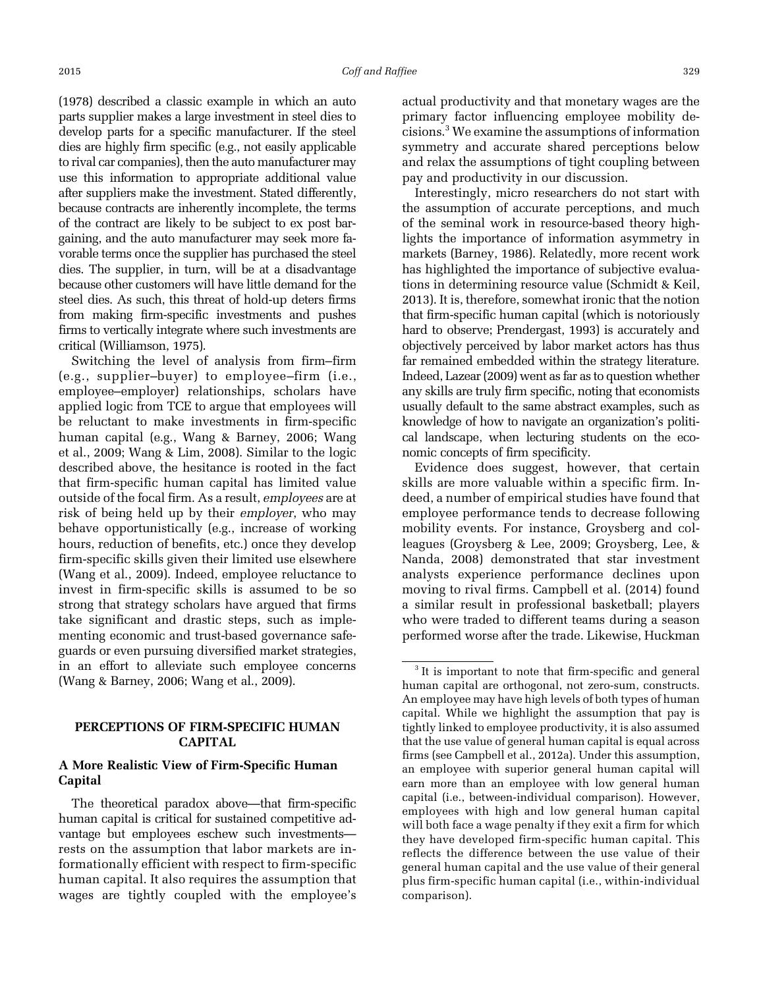[\(1978\)](#page-13-0) described a classic example in which an auto parts supplier makes a large investment in steel dies to develop parts for a specific manufacturer. If the steel dies are highly firm specific (e.g., not easily applicable to rival car companies), then the auto manufacturer may use this information to appropriate additional value after suppliers make the investment. Stated differently, because contracts are inherently incomplete, the terms of the contract are likely to be subject to ex post bargaining, and the auto manufacturer may seek more favorable terms once the supplier has purchased the steel dies. The supplier, in turn, will be at a disadvantage because other customers will have little demand for the steel dies. As such, this threat of hold-up deters firms from making firm-specific investments and pushes firms to vertically integrate where such investments are critical [\(Williamson, 1975\)](#page-14-0).

Switching the level of analysis from firm–firm (e.g., supplier–buyer) to employee–firm (i.e., employee–employer) relationships, scholars have applied logic from TCE to argue that employees will be reluctant to make investments in firm-specific human capital (e.g., [Wang & Barney, 2006; Wang](#page-14-0) [et al., 2009](#page-14-0); [Wang & Lim, 2008](#page-14-0)). Similar to the logic described above, the hesitance is rooted in the fact that firm-specific human capital has limited value outside of the focal firm. As a result, employees are at risk of being held up by their *employer*, who may behave opportunistically (e.g., increase of working hours, reduction of benefits, etc.) once they develop firm-specific skills given their limited use elsewhere [\(Wang et al., 2009](#page-14-0)). Indeed, employee reluctance to invest in firm-specific skills is assumed to be so strong that strategy scholars have argued that firms take significant and drastic steps, such as implementing economic and trust-based governance safeguards or even pursuing diversified market strategies, in an effort to alleviate such employee concerns [\(Wang & Barney, 2006](#page-14-0); [Wang et al., 2009\)](#page-14-0).

#### PERCEPTIONS OF FIRM-SPECIFIC HUMAN CAPITAL

#### A More Realistic View of Firm-Specific Human Capital

The theoretical paradox above—that firm-specific human capital is critical for sustained competitive advantage but employees eschew such investments rests on the assumption that labor markets are informationally efficient with respect to firm-specific human capital. It also requires the assumption that wages are tightly coupled with the employee's

actual productivity and that monetary wages are the primary factor influencing employee mobility decisions.3 We examine the assumptions of information symmetry and accurate shared perceptions below and relax the assumptions of tight coupling between pay and productivity in our discussion.

Interestingly, micro researchers do not start with the assumption of accurate perceptions, and much of the seminal work in resource-based theory highlights the importance of information asymmetry in markets ([Barney, 1986\)](#page-12-0). Relatedly, more recent work has highlighted the importance of subjective evaluations in determining resource value ([Schmidt & Keil,](#page-14-0) [2013](#page-14-0)). It is, therefore, somewhat ironic that the notion that firm-specific human capital (which is notoriously hard to observe; [Prendergast, 1993\)](#page-14-0) is accurately and objectively perceived by labor market actors has thus far remained embedded within the strategy literature. Indeed, [Lazear \(2009\)](#page-13-0) went as far as to question whether any skills are truly firm specific, noting that economists usually default to the same abstract examples, such as knowledge of how to navigate an organization's political landscape, when lecturing students on the economic concepts of firm specificity.

Evidence does suggest, however, that certain skills are more valuable within a specific firm. Indeed, a number of empirical studies have found that employee performance tends to decrease following mobility events. For instance, Groysberg and colleagues ([Groysberg & Lee, 2009](#page-13-0); [Groysberg, Lee, &](#page-13-0) [Nanda, 2008](#page-13-0)) demonstrated that star investment analysts experience performance declines upon moving to rival firms. [Campbell et al. \(2014\)](#page-12-0) found a similar result in professional basketball; players who were traded to different teams during a season performed worse after the trade. Likewise, [Huckman](#page-13-0)

<sup>&</sup>lt;sup>3</sup> It is important to note that firm-specific and general human capital are orthogonal, not zero-sum, constructs. An employee may have high levels of both types of human capital. While we highlight the assumption that pay is tightly linked to employee productivity, it is also assumed that the use value of general human capital is equal across firms (see [Campbell et al., 2012a\)](#page-12-0). Under this assumption, an employee with superior general human capital will earn more than an employee with low general human capital (i.e., between-individual comparison). However, employees with high and low general human capital will both face a wage penalty if they exit a firm for which they have developed firm-specific human capital. This reflects the difference between the use value of their general human capital and the use value of their general plus firm-specific human capital (i.e., within-individual comparison).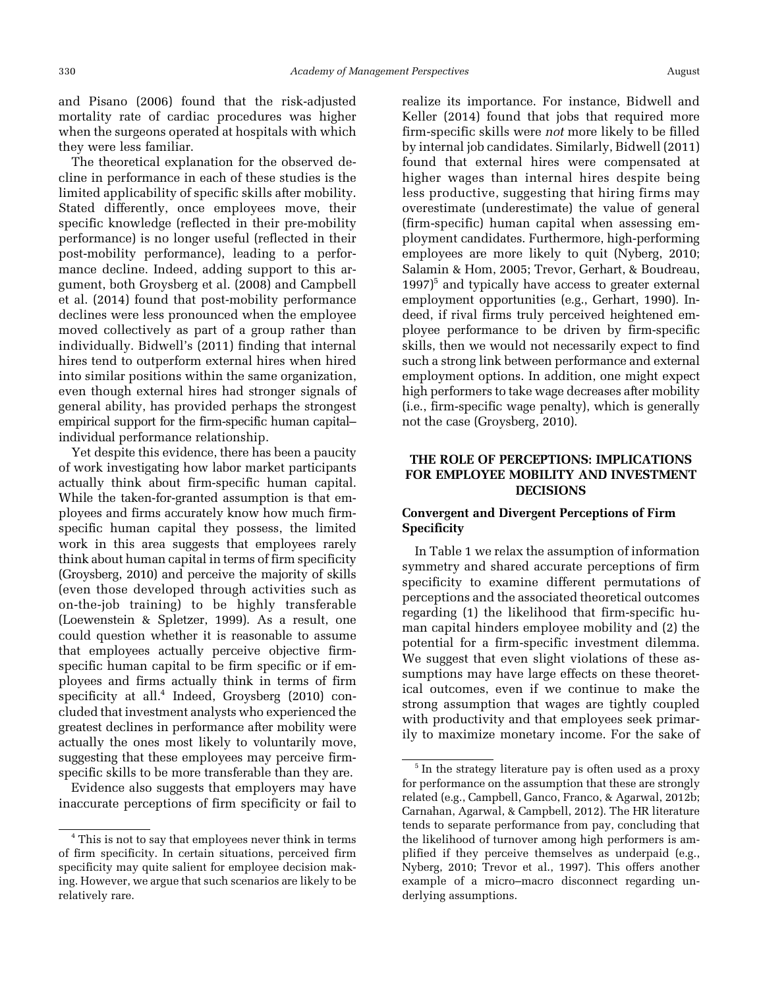[and Pisano \(2006\)](#page-13-0) found that the risk-adjusted mortality rate of cardiac procedures was higher when the surgeons operated at hospitals with which they were less familiar.

The theoretical explanation for the observed decline in performance in each of these studies is the limited applicability of specific skills after mobility. Stated differently, once employees move, their specific knowledge (reflected in their pre-mobility performance) is no longer useful (reflected in their post-mobility performance), leading to a performance decline. Indeed, adding support to this argument, both [Groysberg et al. \(2008\)](#page-13-0) and [Campbell](#page-12-0) [et al. \(2014\)](#page-12-0) found that post-mobility performance declines were less pronounced when the employee moved collectively as part of a group rather than individually. Bidwell'[s \(2011\)](#page-12-0) finding that internal hires tend to outperform external hires when hired into similar positions within the same organization, even though external hires had stronger signals of general ability, has provided perhaps the strongest empirical support for the firm-specific human capital– individual performance relationship.

Yet despite this evidence, there has been a paucity of work investigating how labor market participants actually think about firm-specific human capital. While the taken-for-granted assumption is that employees and firms accurately know how much firmspecific human capital they possess, the limited work in this area suggests that employees rarely think about human capital in terms of firm specificity [\(Groysberg, 2010](#page-13-0)) and perceive the majority of skills (even those developed through activities such as on-the-job training) to be highly transferable [\(Loewenstein & Spletzer, 1999\)](#page-13-0). As a result, one could question whether it is reasonable to assume that employees actually perceive objective firmspecific human capital to be firm specific or if employees and firms actually think in terms of firm specificity at all.<sup>4</sup> Indeed, [Groysberg \(2010\)](#page-13-0) concluded that investment analysts who experienced the greatest declines in performance after mobility were actually the ones most likely to voluntarily move, suggesting that these employees may perceive firmspecific skills to be more transferable than they are.

Evidence also suggests that employers may have inaccurate perceptions of firm specificity or fail to realize its importance. For instance, [Bidwell and](#page-12-0) [Keller \(2014\)](#page-12-0) found that jobs that required more firm-specific skills were not more likely to be filled by internal job candidates. Similarly, [Bidwell \(2011\)](#page-12-0) found that external hires were compensated at higher wages than internal hires despite being less productive, suggesting that hiring firms may overestimate (underestimate) the value of general (firm-specific) human capital when assessing employment candidates. Furthermore, high-performing employees are more likely to quit [\(Nyberg, 2010](#page-14-0); [Salamin & Hom, 2005; Trevor, Gerhart, & Boudreau,](#page-14-0)  $1997$ <sup>5</sup> and typically have access to greater external employment opportunities (e.g., [Gerhart, 1990\)](#page-13-0). Indeed, if rival firms truly perceived heightened employee performance to be driven by firm-specific skills, then we would not necessarily expect to find such a strong link between performance and external employment options. In addition, one might expect high performers to take wage decreases after mobility (i.e., firm-specific wage penalty), which is generally not the case [\(Groysberg, 2010](#page-13-0)).

## THE ROLE OF PERCEPTIONS: IMPLICATIONS FOR EMPLOYEE MOBILITY AND INVESTMENT DECISIONS

## Convergent and Divergent Perceptions of Firm Specificity

In [Table 1](#page-5-0) we relax the assumption of information symmetry and shared accurate perceptions of firm specificity to examine different permutations of perceptions and the associated theoretical outcomes regarding (1) the likelihood that firm-specific human capital hinders employee mobility and (2) the potential for a firm-specific investment dilemma. We suggest that even slight violations of these assumptions may have large effects on these theoretical outcomes, even if we continue to make the strong assumption that wages are tightly coupled with productivity and that employees seek primarily to maximize monetary income. For the sake of

<sup>&</sup>lt;sup>4</sup> This is not to say that employees never think in terms of firm specificity. In certain situations, perceived firm specificity may quite salient for employee decision making. However, we argue that such scenarios are likely to be relatively rare.

<sup>&</sup>lt;sup>5</sup> In the strategy literature pay is often used as a proxy for performance on the assumption that these are strongly related (e.g., [Campbell, Ganco, Franco, & Agarwal, 2012b;](#page-12-0) [Carnahan, Agarwal, & Campbell, 2012\)](#page-12-0). The HR literature tends to separate performance from pay, concluding that the likelihood of turnover among high performers is amplified if they perceive themselves as underpaid (e.g., [Nyberg, 2010; Trevor et al., 1997\)](#page-14-0). This offers another example of a micro–macro disconnect regarding underlying assumptions.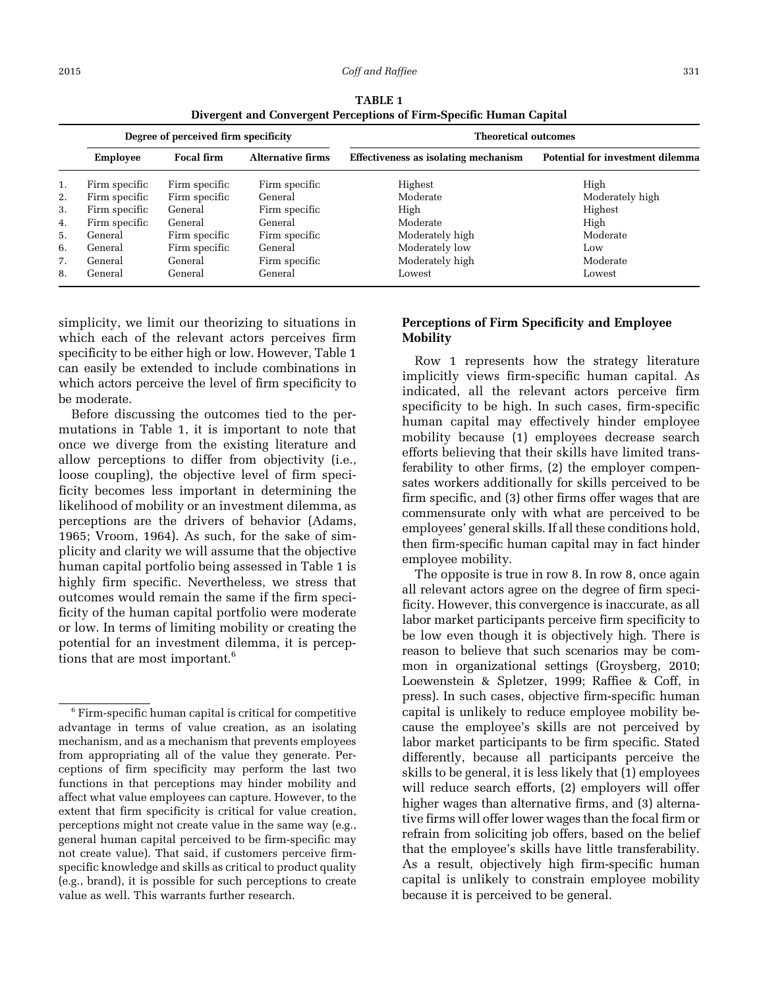<span id="page-5-0"></span>

| Divergent and Convergent Ferceptions of Firm-opecnic Figurent Capital |                                      |                   |                          |                                      |                                  |
|-----------------------------------------------------------------------|--------------------------------------|-------------------|--------------------------|--------------------------------------|----------------------------------|
|                                                                       | Degree of perceived firm specificity |                   |                          | <b>Theoretical outcomes</b>          |                                  |
|                                                                       | Employee                             | <b>Focal firm</b> | <b>Alternative firms</b> | Effectiveness as isolating mechanism | Potential for investment dilemma |
| 1.                                                                    | Firm specific                        | Firm specific     | Firm specific            | Highest                              | High                             |
| 2.                                                                    | Firm specific                        | Firm specific     | General                  | Moderate                             | Moderately high                  |
| 3.                                                                    | Firm specific                        | General           | Firm specific            | High                                 | Highest                          |
| 4.                                                                    | Firm specific                        | General           | General                  | Moderate                             | High                             |
| 5.                                                                    | General                              | Firm specific     | Firm specific            | Moderately high                      | Moderate                         |
| 6.                                                                    | General                              | Firm specific     | General                  | Moderately low                       | Low                              |
| 7.                                                                    | General                              | General           | Firm specific            | Moderately high                      | Moderate                         |
| 8.                                                                    | General                              | General           | General                  | Lowest                               | Lowest                           |

TABLE 1 Divergent and Convergent Perceptions of Firm-Specific Human Capital

simplicity, we limit our theorizing to situations in which each of the relevant actors perceives firm specificity to be either high or low. However, Table 1 can easily be extended to include combinations in which actors perceive the level of firm specificity to be moderate.

Before discussing the outcomes tied to the permutations in Table 1, it is important to note that once we diverge from the existing literature and allow perceptions to differ from objectivity (i.e., loose coupling), the objective level of firm specificity becomes less important in determining the likelihood of mobility or an investment dilemma, as perceptions are the drivers of behavior [\(Adams,](#page-11-0) [1965;](#page-11-0) [Vroom, 1964](#page-14-0)). As such, for the sake of simplicity and clarity we will assume that the objective human capital portfolio being assessed in Table 1 is highly firm specific. Nevertheless, we stress that outcomes would remain the same if the firm specificity of the human capital portfolio were moderate or low. In terms of limiting mobility or creating the potential for an investment dilemma, it is perceptions that are most important.<sup>6</sup>

# Perceptions of Firm Specificity and Employee Mobility

Row 1 represents how the strategy literature implicitly views firm-specific human capital. As indicated, all the relevant actors perceive firm specificity to be high. In such cases, firm-specific human capital may effectively hinder employee mobility because (1) employees decrease search efforts believing that their skills have limited transferability to other firms, (2) the employer compensates workers additionally for skills perceived to be firm specific, and (3) other firms offer wages that are commensurate only with what are perceived to be employees' general skills. If all these conditions hold, then firm-specific human capital may in fact hinder employee mobility.

The opposite is true in row 8. In row 8, once again all relevant actors agree on the degree of firm specificity. However, this convergence is inaccurate, as all labor market participants perceive firm specificity to be low even though it is objectively high. There is reason to believe that such scenarios may be common in organizational settings ([Groysberg, 2010](#page-13-0); [Loewenstein & Spletzer, 1999;](#page-13-0) [Raffiee & Coff, in](#page-14-0) [press](#page-14-0)). In such cases, objective firm-specific human capital is unlikely to reduce employee mobility because the employee's skills are not perceived by labor market participants to be firm specific. Stated differently, because all participants perceive the skills to be general, it is less likely that (1) employees will reduce search efforts, (2) employers will offer higher wages than alternative firms, and (3) alternative firms will offer lower wages than the focal firm or refrain from soliciting job offers, based on the belief that the employee's skills have little transferability. As a result, objectively high firm-specific human capital is unlikely to constrain employee mobility because it is perceived to be general.

<sup>6</sup> Firm-specific human capital is critical for competitive advantage in terms of value creation, as an isolating mechanism, and as a mechanism that prevents employees from appropriating all of the value they generate. Perceptions of firm specificity may perform the last two functions in that perceptions may hinder mobility and affect what value employees can capture. However, to the extent that firm specificity is critical for value creation, perceptions might not create value in the same way (e.g., general human capital perceived to be firm-specific may not create value). That said, if customers perceive firmspecific knowledge and skills as critical to product quality (e.g., brand), it is possible for such perceptions to create value as well. This warrants further research.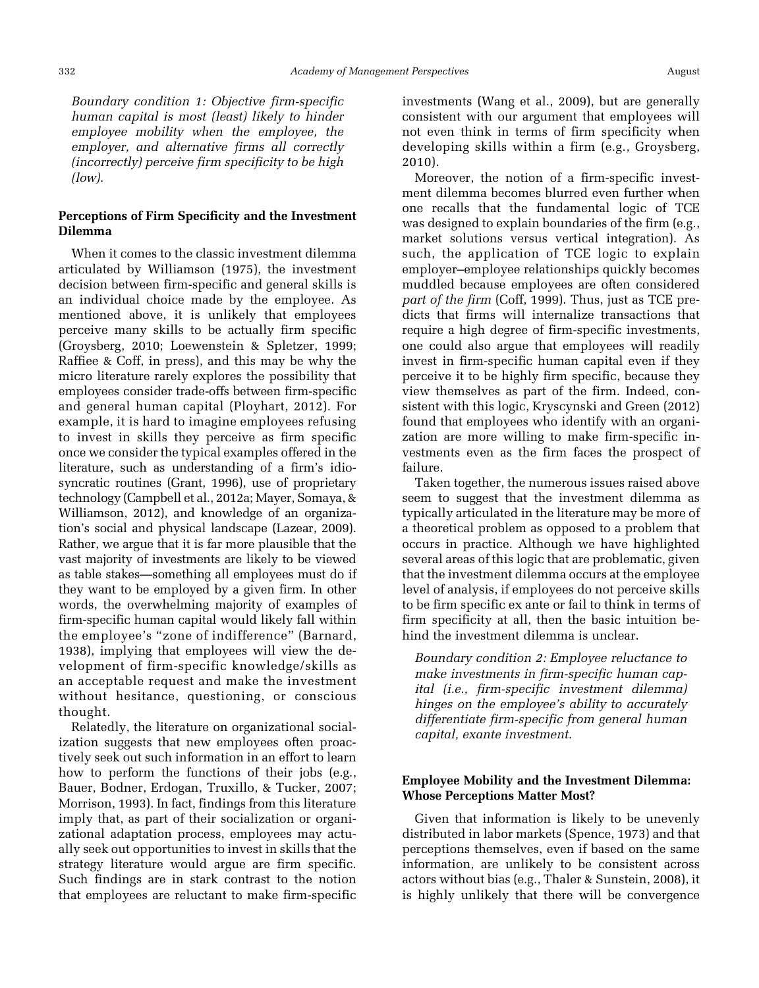Boundary condition 1: Objective firm-specific human capital is most (least) likely to hinder employee mobility when the employee, the employer, and alternative firms all correctly (incorrectly) perceive firm specificity to be high (low).

#### Perceptions of Firm Specificity and the Investment Dilemma

When it comes to the classic investment dilemma articulated by [Williamson \(1975\),](#page-14-0) the investment decision between firm-specific and general skills is an individual choice made by the employee. As mentioned above, it is unlikely that employees perceive many skills to be actually firm specific [\(Groysberg, 2010](#page-13-0); [Loewenstein & Spletzer, 1999](#page-13-0); [Raffiee & Coff, in press\)](#page-14-0), and this may be why the micro literature rarely explores the possibility that employees consider trade-offs between firm-specific and general human capital ([Ployhart, 2012\)](#page-14-0). For example, it is hard to imagine employees refusing to invest in skills they perceive as firm specific once we consider the typical examples offered in the literature, such as understanding of a firm's idiosyncratic routines [\(Grant, 1996\)](#page-13-0), use of proprietary technology ([Campbell et al., 2012a](#page-12-0); [Mayer, Somaya, &](#page-13-0) [Williamson, 2012\)](#page-13-0), and knowledge of an organization's social and physical landscape [\(Lazear, 2009](#page-13-0)). Rather, we argue that it is far more plausible that the vast majority of investments are likely to be viewed as table stakes—something all employees must do if they want to be employed by a given firm. In other words, the overwhelming majority of examples of firm-specific human capital would likely fall within the employee's "zone of indifference" ([Barnard,](#page-12-0) [1938\)](#page-12-0), implying that employees will view the development of firm-specific knowledge/skills as an acceptable request and make the investment without hesitance, questioning, or conscious thought.

Relatedly, the literature on organizational socialization suggests that new employees often proactively seek out such information in an effort to learn how to perform the functions of their jobs (e.g., [Bauer, Bodner, Erdogan, Truxillo, & Tucker, 2007](#page-12-0); [Morrison, 1993\)](#page-14-0). In fact, findings from this literature imply that, as part of their socialization or organizational adaptation process, employees may actually seek out opportunities to invest in skills that the strategy literature would argue are firm specific. Such findings are in stark contrast to the notion that employees are reluctant to make firm-specific

investments [\(Wang et al., 2009](#page-14-0)), but are generally consistent with our argument that employees will not even think in terms of firm specificity when developing skills within a firm (e.g., [Groysberg,](#page-13-0) [2010\)](#page-13-0).

Moreover, the notion of a firm-specific investment dilemma becomes blurred even further when one recalls that the fundamental logic of TCE was designed to explain boundaries of the firm (e.g., market solutions versus vertical integration). As such, the application of TCE logic to explain employer–employee relationships quickly becomes muddled because employees are often considered part of the firm [\(Coff, 1999\)](#page-12-0). Thus, just as TCE predicts that firms will internalize transactions that require a high degree of firm-specific investments, one could also argue that employees will readily invest in firm-specific human capital even if they perceive it to be highly firm specific, because they view themselves as part of the firm. Indeed, consistent with this logic, [Kryscynski and Green \(2012\)](#page-13-0) found that employees who identify with an organization are more willing to make firm-specific investments even as the firm faces the prospect of failure.

Taken together, the numerous issues raised above seem to suggest that the investment dilemma as typically articulated in the literature may be more of a theoretical problem as opposed to a problem that occurs in practice. Although we have highlighted several areas of this logic that are problematic, given that the investment dilemma occurs at the employee level of analysis, if employees do not perceive skills to be firm specific ex ante or fail to think in terms of firm specificity at all, then the basic intuition behind the investment dilemma is unclear.

Boundary condition 2: Employee reluctance to make investments in firm-specific human capital (i.e., firm-specific investment dilemma) hinges on the employee's ability to accurately differentiate firm-specific from general human capital, exante investment.

#### Employee Mobility and the Investment Dilemma: Whose Perceptions Matter Most?

Given that information is likely to be unevenly distributed in labor markets [\(Spence, 1973\)](#page-14-0) and that perceptions themselves, even if based on the same information, are unlikely to be consistent across actors without bias (e.g., [Thaler & Sunstein, 2008](#page-14-0)), it is highly unlikely that there will be convergence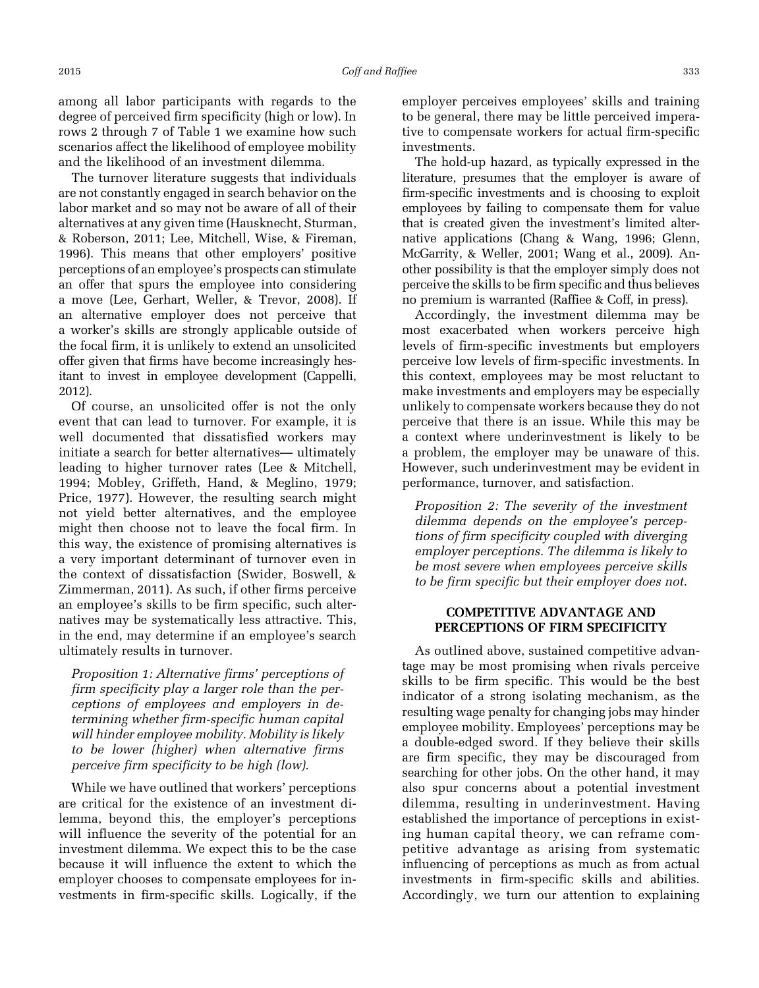among all labor participants with regards to the degree of perceived firm specificity (high or low). In rows 2 through 7 of [Table 1](#page-5-0) we examine how such scenarios affect the likelihood of employee mobility and the likelihood of an investment dilemma.

The turnover literature suggests that individuals are not constantly engaged in search behavior on the labor market and so may not be aware of all of their alternatives at any given time [\(Hausknecht, Sturman,](#page-13-0) [& Roberson, 2011](#page-13-0); [Lee, Mitchell, Wise, & Fireman,](#page-13-0) [1996\)](#page-13-0). This means that other employers' positive perceptions of an employee's prospects can stimulate an offer that spurs the employee into considering a move ([Lee, Gerhart, Weller, & Trevor, 2008\)](#page-13-0). If an alternative employer does not perceive that a worker's skills are strongly applicable outside of the focal firm, it is unlikely to extend an unsolicited offer given that firms have become increasingly hesitant to invest in employee development [\(Cappelli,](#page-12-0) [2012\)](#page-12-0).

Of course, an unsolicited offer is not the only event that can lead to turnover. For example, it is well documented that dissatisfied workers may initiate a search for better alternatives— ultimately leading to higher turnover rates ([Lee & Mitchell,](#page-13-0) [1994;](#page-13-0) [Mobley, Griffeth, Hand, & Meglino, 1979](#page-14-0); [Price, 1977](#page-14-0)). However, the resulting search might not yield better alternatives, and the employee might then choose not to leave the focal firm. In this way, the existence of promising alternatives is a very important determinant of turnover even in the context of dissatisfaction [\(Swider, Boswell, &](#page-14-0) [Zimmerman, 2011](#page-14-0)). As such, if other firms perceive an employee's skills to be firm specific, such alternatives may be systematically less attractive. This, in the end, may determine if an employee's search ultimately results in turnover.

Proposition 1: Alternative firms' perceptions of firm specificity play a larger role than the perceptions of employees and employers in determining whether firm-specific human capital will hinder employee mobility. Mobility is likely to be lower (higher) when alternative firms perceive firm specificity to be high (low).

While we have outlined that workers' perceptions are critical for the existence of an investment dilemma, beyond this, the employer's perceptions will influence the severity of the potential for an investment dilemma. We expect this to be the case because it will influence the extent to which the employer chooses to compensate employees for investments in firm-specific skills. Logically, if the employer perceives employees' skills and training to be general, there may be little perceived imperative to compensate workers for actual firm-specific investments.

The hold-up hazard, as typically expressed in the literature, presumes that the employer is aware of firm-specific investments and is choosing to exploit employees by failing to compensate them for value that is created given the investment's limited alternative applications [\(Chang & Wang, 1996;](#page-12-0) [Glenn,](#page-13-0) [McGarrity, & Weller, 2001](#page-13-0); [Wang et al., 2009\)](#page-14-0). Another possibility is that the employer simply does not perceive the skills to be firm specific and thus believes no premium is warranted [\(Raffiee & Coff, in press\)](#page-14-0).

Accordingly, the investment dilemma may be most exacerbated when workers perceive high levels of firm-specific investments but employers perceive low levels of firm-specific investments. In this context, employees may be most reluctant to make investments and employers may be especially unlikely to compensate workers because they do not perceive that there is an issue. While this may be a context where underinvestment is likely to be a problem, the employer may be unaware of this. However, such underinvestment may be evident in performance, turnover, and satisfaction.

Proposition 2: The severity of the investment dilemma depends on the employee's perceptions of firm specificity coupled with diverging employer perceptions. The dilemma is likely to be most severe when employees perceive skills to be firm specific but their employer does not.

## COMPETITIVE ADVANTAGE AND PERCEPTIONS OF FIRM SPECIFICITY

As outlined above, sustained competitive advantage may be most promising when rivals perceive skills to be firm specific. This would be the best indicator of a strong isolating mechanism, as the resulting wage penalty for changing jobs may hinder employee mobility. Employees' perceptions may be a double-edged sword. If they believe their skills are firm specific, they may be discouraged from searching for other jobs. On the other hand, it may also spur concerns about a potential investment dilemma, resulting in underinvestment. Having established the importance of perceptions in existing human capital theory, we can reframe competitive advantage as arising from systematic influencing of perceptions as much as from actual investments in firm-specific skills and abilities. Accordingly, we turn our attention to explaining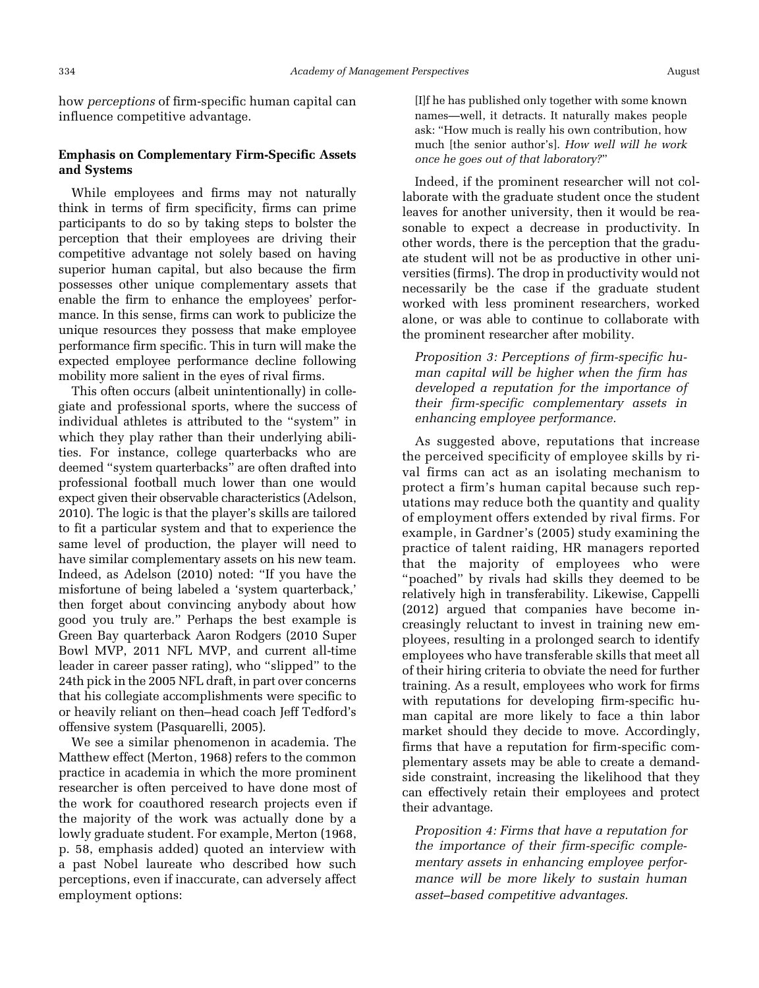how perceptions of firm-specific human capital can influence competitive advantage.

#### Emphasis on Complementary Firm-Specific Assets and Systems

While employees and firms may not naturally think in terms of firm specificity, firms can prime participants to do so by taking steps to bolster the perception that their employees are driving their competitive advantage not solely based on having superior human capital, but also because the firm possesses other unique complementary assets that enable the firm to enhance the employees' performance. In this sense, firms can work to publicize the unique resources they possess that make employee performance firm specific. This in turn will make the expected employee performance decline following mobility more salient in the eyes of rival firms.

This often occurs (albeit unintentionally) in collegiate and professional sports, where the success of individual athletes is attributed to the "system" in which they play rather than their underlying abilities. For instance, college quarterbacks who are deemed "system quarterbacks" are often drafted into professional football much lower than one would expect given their observable characteristics [\(Adelson,](#page-12-0) [2010\)](#page-12-0). The logic is that the player's skills are tailored to fit a particular system and that to experience the same level of production, the player will need to have similar complementary assets on his new team. Indeed, as [Adelson \(2010\)](#page-12-0) noted: "If you have the misfortune of being labeled a 'system quarterback,' then forget about convincing anybody about how good you truly are." Perhaps the best example is Green Bay quarterback Aaron Rodgers (2010 Super Bowl MVP, 2011 NFL MVP, and current all-time leader in career passer rating), who "slipped" to the 24th pick in the 2005 NFL draft, in part over concerns that his collegiate accomplishments were specific to or heavily reliant on then–head coach Jeff Tedford's offensive system [\(Pasquarelli, 2005\)](#page-14-0).

We see a similar phenomenon in academia. The Matthew effect [\(Merton, 1968\)](#page-14-0) refers to the common practice in academia in which the more prominent researcher is often perceived to have done most of the work for coauthored research projects even if the majority of the work was actually done by a lowly graduate student. For example, Merton (1968, p. 58, emphasis added) quoted an interview with a past Nobel laureate who described how such perceptions, even if inaccurate, can adversely affect employment options:

[I]f he has published only together with some known names—well, it detracts. It naturally makes people ask: "How much is really his own contribution, how much [the senior author's]. How well will he work once he goes out of that laboratory?"

Indeed, if the prominent researcher will not collaborate with the graduate student once the student leaves for another university, then it would be reasonable to expect a decrease in productivity. In other words, there is the perception that the graduate student will not be as productive in other universities (firms). The drop in productivity would not necessarily be the case if the graduate student worked with less prominent researchers, worked alone, or was able to continue to collaborate with the prominent researcher after mobility.

Proposition 3: Perceptions of firm-specific human capital will be higher when the firm has developed a reputation for the importance of their firm-specific complementary assets in enhancing employee performance.

As suggested above, reputations that increase the perceived specificity of employee skills by rival firms can act as an isolating mechanism to protect a firm's human capital because such reputations may reduce both the quantity and quality of employment offers extended by rival firms. For example, in [Gardner](#page-12-0)'s (2005) study examining the practice of talent raiding, HR managers reported that the majority of employees who were "poached" by rivals had skills they deemed to be relatively high in transferability. Likewise, [Cappelli](#page-12-0) [\(2012\)](#page-12-0) argued that companies have become increasingly reluctant to invest in training new employees, resulting in a prolonged search to identify employees who have transferable skills that meet all of their hiring criteria to obviate the need for further training. As a result, employees who work for firms with reputations for developing firm-specific human capital are more likely to face a thin labor market should they decide to move. Accordingly, firms that have a reputation for firm-specific complementary assets may be able to create a demandside constraint, increasing the likelihood that they can effectively retain their employees and protect their advantage.

Proposition 4: Firms that have a reputation for the importance of their firm-specific complementary assets in enhancing employee performance will be more likely to sustain human asset–based competitive advantages.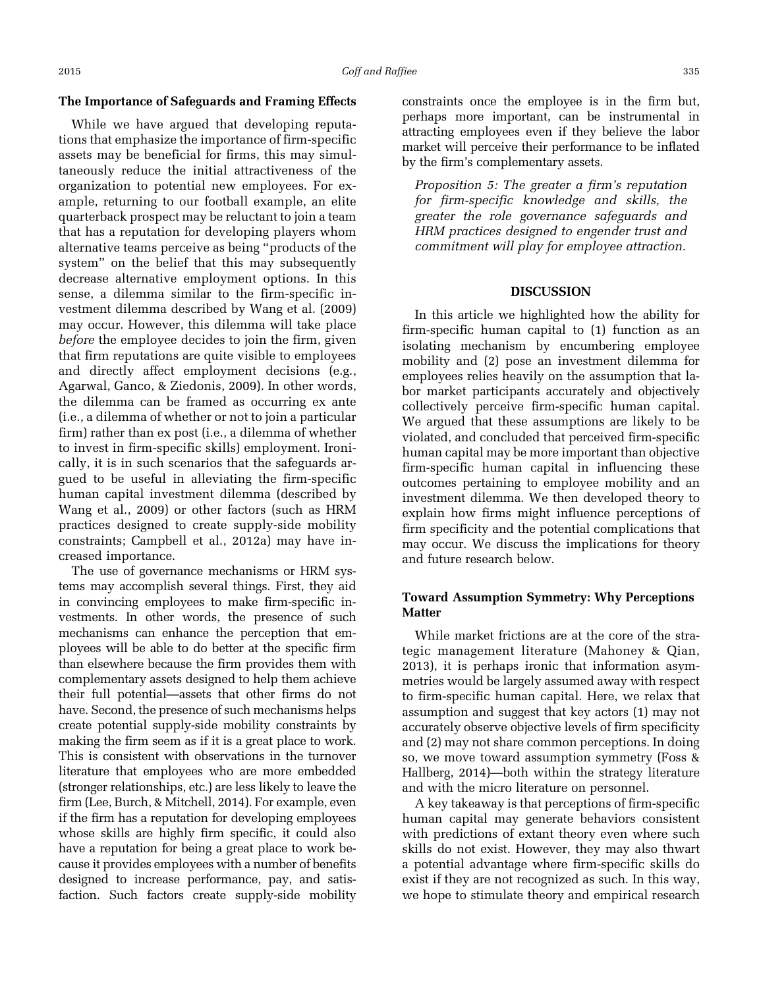#### The Importance of Safeguards and Framing Effects

While we have argued that developing reputations that emphasize the importance of firm-specific assets may be beneficial for firms, this may simultaneously reduce the initial attractiveness of the organization to potential new employees. For example, returning to our football example, an elite quarterback prospect may be reluctant to join a team that has a reputation for developing players whom alternative teams perceive as being "products of the system" on the belief that this may subsequently decrease alternative employment options. In this sense, a dilemma similar to the firm-specific investment dilemma described by [Wang et al. \(2009\)](#page-14-0) may occur. However, this dilemma will take place before the employee decides to join the firm, given that firm reputations are quite visible to employees and directly affect employment decisions (e.g., [Agarwal, Ganco, & Ziedonis, 2009\)](#page-12-0). In other words, the dilemma can be framed as occurring ex ante (i.e., a dilemma of whether or not to join a particular firm) rather than ex post (i.e., a dilemma of whether to invest in firm-specific skills) employment. Ironically, it is in such scenarios that the safeguards argued to be useful in alleviating the firm-specific human capital investment dilemma (described by [Wang et al., 2009\)](#page-14-0) or other factors (such as HRM practices designed to create supply-side mobility constraints; [Campbell et al., 2012a\)](#page-12-0) may have increased importance.

The use of governance mechanisms or HRM systems may accomplish several things. First, they aid in convincing employees to make firm-specific investments. In other words, the presence of such mechanisms can enhance the perception that employees will be able to do better at the specific firm than elsewhere because the firm provides them with complementary assets designed to help them achieve their full potential—assets that other firms do not have. Second, the presence of such mechanisms helps create potential supply-side mobility constraints by making the firm seem as if it is a great place to work. This is consistent with observations in the turnover literature that employees who are more embedded (stronger relationships, etc.) are less likely to leave the firm [\(Lee, Burch, & Mitchell, 2014\)](#page-13-0). For example, even if the firm has a reputation for developing employees whose skills are highly firm specific, it could also have a reputation for being a great place to work because it provides employees with a number of benefits designed to increase performance, pay, and satisfaction. Such factors create supply-side mobility

constraints once the employee is in the firm but, perhaps more important, can be instrumental in attracting employees even if they believe the labor market will perceive their performance to be inflated by the firm's complementary assets.

Proposition 5: The greater a firm's reputation for firm-specific knowledge and skills, the greater the role governance safeguards and HRM practices designed to engender trust and commitment will play for employee attraction.

#### DISCUSSION

In this article we highlighted how the ability for firm-specific human capital to (1) function as an isolating mechanism by encumbering employee mobility and (2) pose an investment dilemma for employees relies heavily on the assumption that labor market participants accurately and objectively collectively perceive firm-specific human capital. We argued that these assumptions are likely to be violated, and concluded that perceived firm-specific human capital may be more important than objective firm-specific human capital in influencing these outcomes pertaining to employee mobility and an investment dilemma. We then developed theory to explain how firms might influence perceptions of firm specificity and the potential complications that may occur. We discuss the implications for theory and future research below.

# Toward Assumption Symmetry: Why Perceptions Matter

While market frictions are at the core of the strategic management literature ([Mahoney & Qian,](#page-13-0) [2013\)](#page-13-0), it is perhaps ironic that information asymmetries would be largely assumed away with respect to firm-specific human capital. Here, we relax that assumption and suggest that key actors (1) may not accurately observe objective levels of firm specificity and (2) may not share common perceptions. In doing so, we move toward assumption symmetry ([Foss &](#page-12-0) [Hallberg, 2014\)](#page-12-0)—both within the strategy literature and with the micro literature on personnel.

A key takeaway is that perceptions of firm-specific human capital may generate behaviors consistent with predictions of extant theory even where such skills do not exist. However, they may also thwart a potential advantage where firm-specific skills do exist if they are not recognized as such. In this way, we hope to stimulate theory and empirical research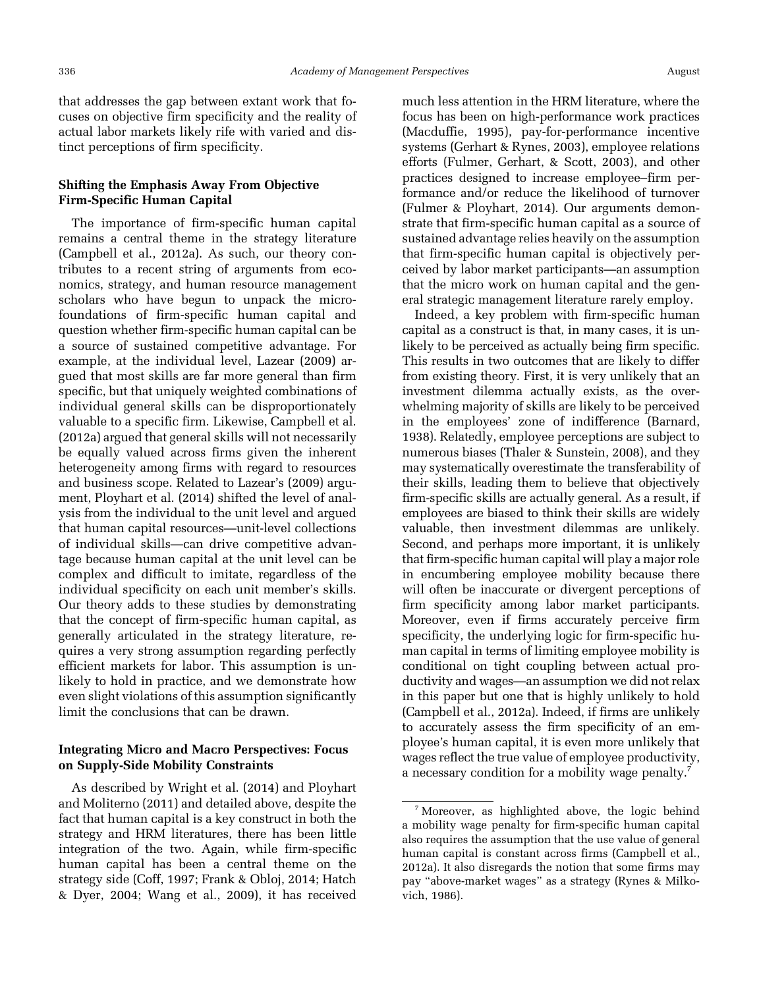that addresses the gap between extant work that focuses on objective firm specificity and the reality of actual labor markets likely rife with varied and distinct perceptions of firm specificity.

#### Shifting the Emphasis Away From Objective Firm-Specific Human Capital

The importance of firm-specific human capital remains a central theme in the strategy literature [\(Campbell et al., 2012a\)](#page-12-0). As such, our theory contributes to a recent string of arguments from economics, strategy, and human resource management scholars who have begun to unpack the microfoundations of firm-specific human capital and question whether firm-specific human capital can be a source of sustained competitive advantage. For example, at the individual level, [Lazear \(2009\)](#page-13-0) argued that most skills are far more general than firm specific, but that uniquely weighted combinations of individual general skills can be disproportionately valuable to a specific firm. Likewise, [Campbell et al.](#page-12-0) [\(2012a\)](#page-12-0) argued that general skills will not necessarily be equally valued across firms given the inherent heterogeneity among firms with regard to resources and business scope. Related to Lazear'[s \(2009\)](#page-13-0) argument, [Ployhart et al. \(2014\)](#page-14-0) shifted the level of analysis from the individual to the unit level and argued that human capital resources—unit-level collections of individual skills—can drive competitive advantage because human capital at the unit level can be complex and difficult to imitate, regardless of the individual specificity on each unit member's skills. Our theory adds to these studies by demonstrating that the concept of firm-specific human capital, as generally articulated in the strategy literature, requires a very strong assumption regarding perfectly efficient markets for labor. This assumption is unlikely to hold in practice, and we demonstrate how even slight violations of this assumption significantly limit the conclusions that can be drawn.

#### Integrating Micro and Macro Perspectives: Focus on Supply-Side Mobility Constraints

As described by [Wright et al. \(2014\)](#page-14-0) and [Ployhart](#page-14-0) [and Moliterno \(2011\)](#page-14-0) and detailed above, despite the fact that human capital is a key construct in both the strategy and HRM literatures, there has been little integration of the two. Again, while firm-specific human capital has been a central theme on the strategy side [\(Coff, 1997; Frank & Obloj, 2014](#page-12-0); [Hatch](#page-13-0) [& Dyer, 2004;](#page-13-0) [Wang et al., 2009](#page-14-0)), it has received much less attention in the HRM literature, where the focus has been on high-performance work practices [\(Macduffie, 1995](#page-13-0)), pay-for-performance incentive systems ([Gerhart & Rynes, 2003](#page-13-0)), employee relations efforts [\(Fulmer, Gerhart, & Scott, 2003](#page-12-0)), and other practices designed to increase employee–firm performance and/or reduce the likelihood of turnover [\(Fulmer & Ployhart, 2014\)](#page-12-0). Our arguments demonstrate that firm-specific human capital as a source of sustained advantage relies heavily on the assumption that firm-specific human capital is objectively perceived by labor market participants—an assumption that the micro work on human capital and the general strategic management literature rarely employ.

Indeed, a key problem with firm-specific human capital as a construct is that, in many cases, it is unlikely to be perceived as actually being firm specific. This results in two outcomes that are likely to differ from existing theory. First, it is very unlikely that an investment dilemma actually exists, as the overwhelming majority of skills are likely to be perceived in the employees' zone of indifference [\(Barnard,](#page-12-0) [1938](#page-12-0)). Relatedly, employee perceptions are subject to numerous biases ([Thaler & Sunstein, 2008\)](#page-14-0), and they may systematically overestimate the transferability of their skills, leading them to believe that objectively firm-specific skills are actually general. As a result, if employees are biased to think their skills are widely valuable, then investment dilemmas are unlikely. Second, and perhaps more important, it is unlikely that firm-specific human capital will play a major role in encumbering employee mobility because there will often be inaccurate or divergent perceptions of firm specificity among labor market participants. Moreover, even if firms accurately perceive firm specificity, the underlying logic for firm-specific human capital in terms of limiting employee mobility is conditional on tight coupling between actual productivity and wages—an assumption we did not relax in this paper but one that is highly unlikely to hold [\(Campbell et al., 2012a](#page-12-0)). Indeed, if firms are unlikely to accurately assess the firm specificity of an employee's human capital, it is even more unlikely that wages reflect the true value of employee productivity, a necessary condition for a mobility wage penalty.<sup>7</sup>

<sup>7</sup> Moreover, as highlighted above, the logic behind a mobility wage penalty for firm-specific human capital also requires the assumption that the use value of general human capital is constant across firms [\(Campbell et al.,](#page-12-0) [2012a](#page-12-0)). It also disregards the notion that some firms may pay "above-market wages" as a strategy [\(Rynes & Milko](#page-14-0)[vich, 1986\)](#page-14-0).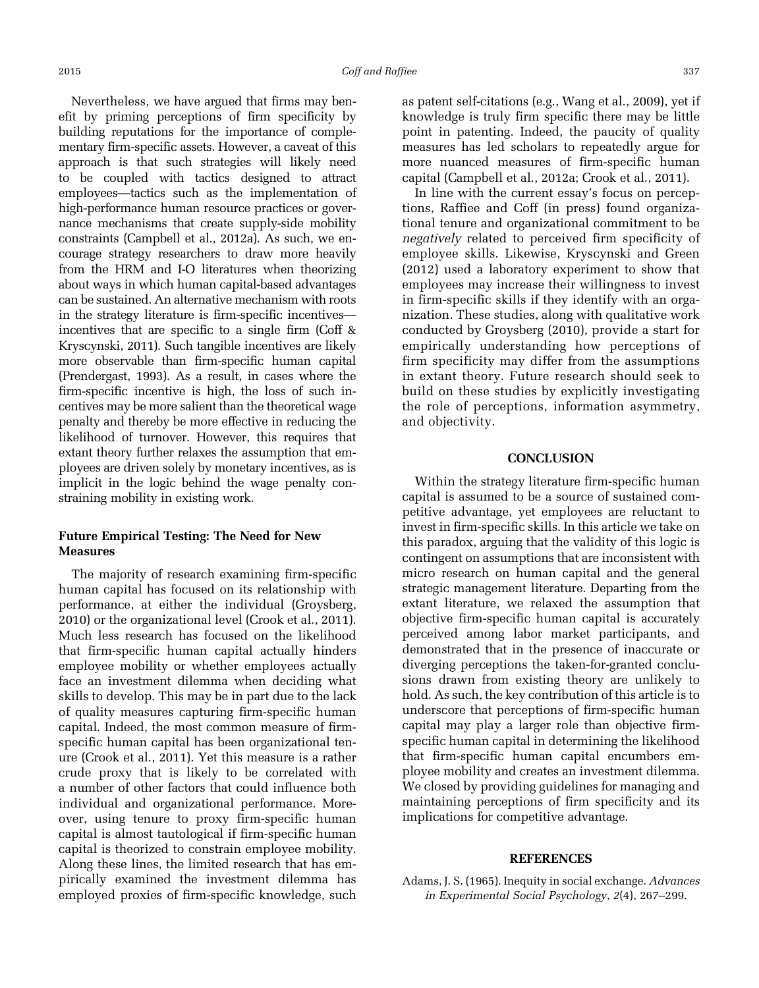<span id="page-11-0"></span>Nevertheless, we have argued that firms may benefit by priming perceptions of firm specificity by building reputations for the importance of complementary firm-specific assets. However, a caveat of this approach is that such strategies will likely need to be coupled with tactics designed to attract employees—tactics such as the implementation of high-performance human resource practices or governance mechanisms that create supply-side mobility constraints ([Campbell et al., 2012a](#page-12-0)). As such, we encourage strategy researchers to draw more heavily from the HRM and I-O literatures when theorizing about ways in which human capital-based advantages can be sustained. An alternative mechanism with roots in the strategy literature is firm-specific incentives incentives that are specific to a single firm [\(Coff &](#page-12-0) [Kryscynski, 2011\)](#page-12-0). Such tangible incentives are likely more observable than firm-specific human capital [\(Prendergast, 1993\)](#page-14-0). As a result, in cases where the firm-specific incentive is high, the loss of such incentives may be more salient than the theoretical wage penalty and thereby be more effective in reducing the likelihood of turnover. However, this requires that extant theory further relaxes the assumption that employees are driven solely by monetary incentives, as is implicit in the logic behind the wage penalty constraining mobility in existing work.

#### Future Empirical Testing: The Need for New **Measures**

The majority of research examining firm-specific human capital has focused on its relationship with performance, at either the individual [\(Groysberg,](#page-13-0) [2010\)](#page-13-0) or the organizational level ([Crook et al., 2011](#page-12-0)). Much less research has focused on the likelihood that firm-specific human capital actually hinders employee mobility or whether employees actually face an investment dilemma when deciding what skills to develop. This may be in part due to the lack of quality measures capturing firm-specific human capital. Indeed, the most common measure of firmspecific human capital has been organizational tenure ([Crook et al., 2011](#page-12-0)). Yet this measure is a rather crude proxy that is likely to be correlated with a number of other factors that could influence both individual and organizational performance. Moreover, using tenure to proxy firm-specific human capital is almost tautological if firm-specific human capital is theorized to constrain employee mobility. Along these lines, the limited research that has empirically examined the investment dilemma has employed proxies of firm-specific knowledge, such as patent self-citations (e.g., [Wang et al., 2009\)](#page-14-0), yet if knowledge is truly firm specific there may be little point in patenting. Indeed, the paucity of quality measures has led scholars to repeatedly argue for more nuanced measures of firm-specific human capital [\(Campbell et al., 2012a](#page-12-0); [Crook et al., 2011](#page-12-0)).

In line with the current essay's focus on perceptions, [Raffiee and Coff \(in press\)](#page-14-0) found organizational tenure and organizational commitment to be negatively related to perceived firm specificity of employee skills. Likewise, [Kryscynski and Green](#page-13-0) [\(2012\)](#page-13-0) used a laboratory experiment to show that employees may increase their willingness to invest in firm-specific skills if they identify with an organization. These studies, along with qualitative work conducted by [Groysberg \(2010\),](#page-13-0) provide a start for empirically understanding how perceptions of firm specificity may differ from the assumptions in extant theory. Future research should seek to build on these studies by explicitly investigating the role of perceptions, information asymmetry, and objectivity.

#### **CONCLUSION**

Within the strategy literature firm-specific human capital is assumed to be a source of sustained competitive advantage, yet employees are reluctant to invest in firm-specific skills. In this article we take on this paradox, arguing that the validity of this logic is contingent on assumptions that are inconsistent with micro research on human capital and the general strategic management literature. Departing from the extant literature, we relaxed the assumption that objective firm-specific human capital is accurately perceived among labor market participants, and demonstrated that in the presence of inaccurate or diverging perceptions the taken-for-granted conclusions drawn from existing theory are unlikely to hold. As such, the key contribution of this article is to underscore that perceptions of firm-specific human capital may play a larger role than objective firmspecific human capital in determining the likelihood that firm-specific human capital encumbers employee mobility and creates an investment dilemma. We closed by providing guidelines for managing and maintaining perceptions of firm specificity and its implications for competitive advantage.

#### **REFERENCES**

Adams, J. S. (1965). Inequity in social exchange. Advances in Experimental Social Psychology, 2(4), 267–299.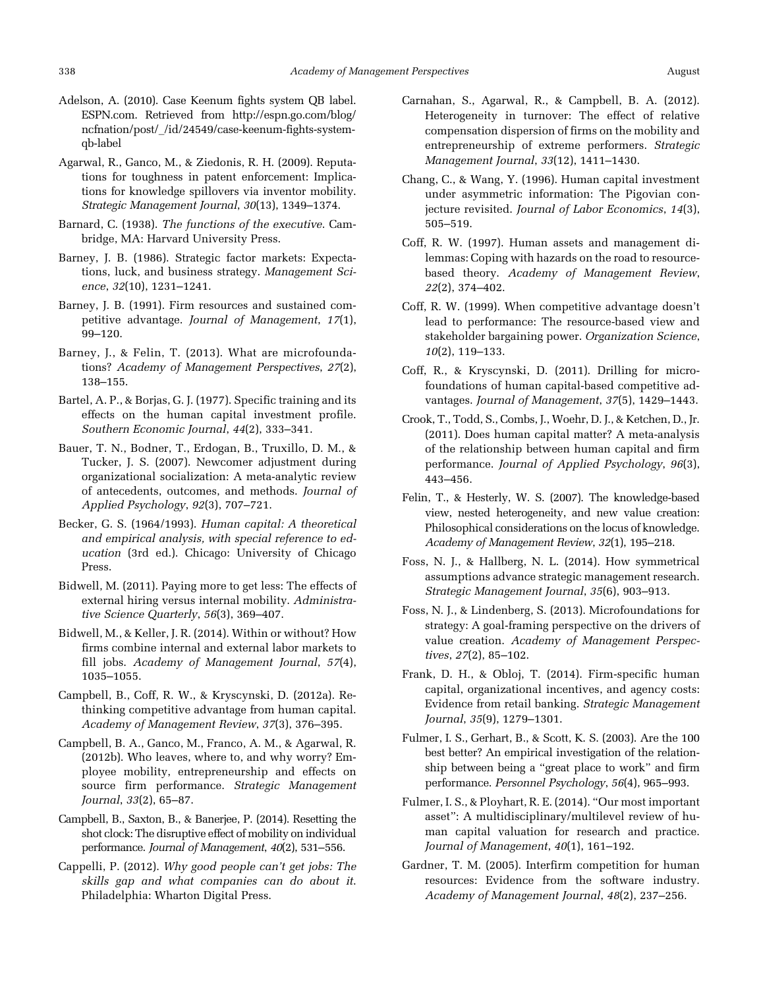- <span id="page-12-0"></span>Adelson, A. (2010). Case Keenum fights system QB label. ESPN.com. Retrieved from [http://espn.go.com/blog/](http://espn.go.com/blog/ncfnation/post/_/id/24549/case-keenum-fights-system-qb-label) [ncfnation/post/\\_/id/24549/case-keenum-fights-system](http://espn.go.com/blog/ncfnation/post/_/id/24549/case-keenum-fights-system-qb-label)[qb-label](http://espn.go.com/blog/ncfnation/post/_/id/24549/case-keenum-fights-system-qb-label)
- Agarwal, R., Ganco, M., & Ziedonis, R. H. (2009). Reputations for toughness in patent enforcement: Implications for knowledge spillovers via inventor mobility. Strategic Management Journal, 30(13), 1349–1374.
- Barnard, C. (1938). The functions of the executive. Cambridge, MA: Harvard University Press.
- Barney, J. B. (1986). Strategic factor markets: Expectations, luck, and business strategy. Management Science, 32(10), 1231–1241.
- Barney, J. B. (1991). Firm resources and sustained competitive advantage. Journal of Management, 17(1), 99–120.
- Barney, J., & Felin, T. (2013). What are microfoundations? Academy of Management Perspectives, 27(2), 138–155.
- Bartel, A. P., & Borjas, G. J. (1977). Specific training and its effects on the human capital investment profile. Southern Economic Journal, 44(2), 333–341.
- Bauer, T. N., Bodner, T., Erdogan, B., Truxillo, D. M., & Tucker, J. S. (2007). Newcomer adjustment during organizational socialization: A meta-analytic review of antecedents, outcomes, and methods. Journal of Applied Psychology, 92(3), 707–721.
- Becker, G. S. (1964/1993). Human capital: A theoretical and empirical analysis, with special reference to education (3rd ed.). Chicago: University of Chicago Press.
- Bidwell, M. (2011). Paying more to get less: The effects of external hiring versus internal mobility. Administrative Science Quarterly, 56(3), 369–407.
- Bidwell, M., & Keller, J. R. (2014). Within or without? How firms combine internal and external labor markets to fill jobs. Academy of Management Journal, 57(4), 1035–1055.
- Campbell, B., Coff, R. W., & Kryscynski, D. (2012a). Rethinking competitive advantage from human capital. Academy of Management Review, 37(3), 376–395.
- Campbell, B. A., Ganco, M., Franco, A. M., & Agarwal, R. (2012b). Who leaves, where to, and why worry? Employee mobility, entrepreneurship and effects on source firm performance. Strategic Management Journal, 33(2), 65–87.
- Campbell, B., Saxton, B., & Banerjee, P. (2014). Resetting the shot clock: The disruptive effect of mobility on individual performance. Journal of Management, 40(2), 531–556.
- Cappelli, P. (2012). Why good people can't get jobs: The skills gap and what companies can do about it. Philadelphia: Wharton Digital Press.
- Carnahan, S., Agarwal, R., & Campbell, B. A. (2012). Heterogeneity in turnover: The effect of relative compensation dispersion of firms on the mobility and entrepreneurship of extreme performers. Strategic Management Journal, 33(12), 1411–1430.
- Chang, C., & Wang, Y. (1996). Human capital investment under asymmetric information: The Pigovian conjecture revisited. Journal of Labor Economics, 14(3), 505–519.
- Coff, R. W. (1997). Human assets and management dilemmas: Coping with hazards on the road to resourcebased theory. Academy of Management Review, 22(2), 374–402.
- Coff, R. W. (1999). When competitive advantage doesn't lead to performance: The resource-based view and stakeholder bargaining power. Organization Science, 10(2), 119–133.
- Coff, R., & Kryscynski, D. (2011). Drilling for microfoundations of human capital-based competitive advantages. Journal of Management, 37(5), 1429–1443.
- Crook, T., Todd, S., Combs, J., Woehr, D. J., & Ketchen, D., Jr. (2011). Does human capital matter? A meta-analysis of the relationship between human capital and firm performance. Journal of Applied Psychology, 96(3), 443–456.
- Felin, T., & Hesterly, W. S. (2007). The knowledge-based view, nested heterogeneity, and new value creation: Philosophical considerations on the locus of knowledge. Academy of Management Review, 32(1), 195–218.
- Foss, N. J., & Hallberg, N. L. (2014). How symmetrical assumptions advance strategic management research. Strategic Management Journal, 35(6), 903–913.
- Foss, N. J., & Lindenberg, S. (2013). Microfoundations for strategy: A goal-framing perspective on the drivers of value creation. Academy of Management Perspectives, 27(2), 85–102.
- Frank, D. H., & Obloj, T. (2014). Firm-specific human capital, organizational incentives, and agency costs: Evidence from retail banking. Strategic Management Journal, 35(9), 1279–1301.
- Fulmer, I. S., Gerhart, B., & Scott, K. S. (2003). Are the 100 best better? An empirical investigation of the relationship between being a "great place to work" and firm performance. Personnel Psychology, 56(4), 965–993.
- Fulmer, I. S., & Ployhart, R. E. (2014). "Our most important asset": A multidisciplinary/multilevel review of human capital valuation for research and practice. Journal of Management, 40(1), 161–192.
- Gardner, T. M. (2005). Interfirm competition for human resources: Evidence from the software industry. Academy of Management Journal, 48(2), 237–256.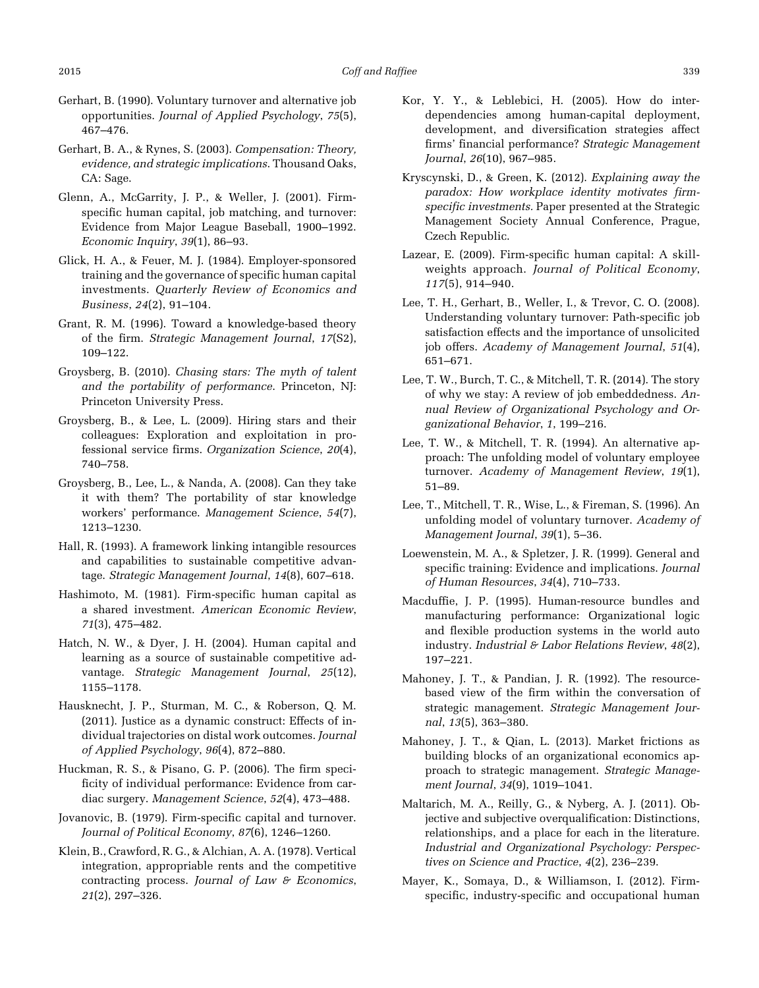- <span id="page-13-0"></span>Gerhart, B. (1990). Voluntary turnover and alternative job opportunities. Journal of Applied Psychology, 75(5), 467–476.
- Gerhart, B. A., & Rynes, S. (2003). Compensation: Theory, evidence, and strategic implications. Thousand Oaks, CA: Sage.
- Glenn, A., McGarrity, J. P., & Weller, J. (2001). Firmspecific human capital, job matching, and turnover: Evidence from Major League Baseball, 1900–1992. Economic Inquiry, 39(1), 86–93.
- Glick, H. A., & Feuer, M. J. (1984). Employer-sponsored training and the governance of specific human capital investments. Quarterly Review of Economics and Business, 24(2), 91–104.
- Grant, R. M. (1996). Toward a knowledge-based theory of the firm. Strategic Management Journal, 17(S2), 109–122.
- Groysberg, B. (2010). Chasing stars: The myth of talent and the portability of performance. Princeton, NJ: Princeton University Press.
- Groysberg, B., & Lee, L. (2009). Hiring stars and their colleagues: Exploration and exploitation in professional service firms. Organization Science, 20(4), 740–758.
- Groysberg, B., Lee, L., & Nanda, A. (2008). Can they take it with them? The portability of star knowledge workers' performance. Management Science, 54(7), 1213–1230.
- Hall, R. (1993). A framework linking intangible resources and capabilities to sustainable competitive advantage. Strategic Management Journal, 14(8), 607–618.
- Hashimoto, M. (1981). Firm-specific human capital as a shared investment. American Economic Review, 71(3), 475–482.
- Hatch, N. W., & Dyer, J. H. (2004). Human capital and learning as a source of sustainable competitive advantage. Strategic Management Journal, 25(12), 1155–1178.
- Hausknecht, J. P., Sturman, M. C., & Roberson, Q. M. (2011). Justice as a dynamic construct: Effects of individual trajectories on distal work outcomes. Journal of Applied Psychology, 96(4), 872–880.
- Huckman, R. S., & Pisano, G. P. (2006). The firm specificity of individual performance: Evidence from cardiac surgery. Management Science, 52(4), 473–488.
- Jovanovic, B. (1979). Firm-specific capital and turnover. Journal of Political Economy, 87(6), 1246–1260.
- Klein, B., Crawford, R. G., & Alchian, A. A. (1978). Vertical integration, appropriable rents and the competitive contracting process. Journal of Law & Economics, 21(2), 297–326.
- Kor, Y. Y., & Leblebici, H. (2005). How do interdependencies among human-capital deployment, development, and diversification strategies affect firms' financial performance? Strategic Management Journal, 26(10), 967–985.
- Kryscynski, D., & Green, K. (2012). Explaining away the paradox: How workplace identity motivates firmspecific investments. Paper presented at the Strategic Management Society Annual Conference, Prague, Czech Republic.
- Lazear, E. (2009). Firm-specific human capital: A skillweights approach. Journal of Political Economy, 117(5), 914–940.
- Lee, T. H., Gerhart, B., Weller, I., & Trevor, C. O. (2008). Understanding voluntary turnover: Path-specific job satisfaction effects and the importance of unsolicited job offers. Academy of Management Journal, 51(4), 651–671.
- Lee, T. W., Burch, T. C., & Mitchell, T. R. (2014). The story of why we stay: A review of job embeddedness. Annual Review of Organizational Psychology and Organizational Behavior, 1, 199–216.
- Lee, T. W., & Mitchell, T. R. (1994). An alternative approach: The unfolding model of voluntary employee turnover. Academy of Management Review, 19(1), 51–89.
- Lee, T., Mitchell, T. R., Wise, L., & Fireman, S. (1996). An unfolding model of voluntary turnover. Academy of Management Journal, 39(1), 5–36.
- Loewenstein, M. A., & Spletzer, J. R. (1999). General and specific training: Evidence and implications. Journal of Human Resources, 34(4), 710–733.
- Macduffie, J. P. (1995). Human-resource bundles and manufacturing performance: Organizational logic and flexible production systems in the world auto industry. Industrial & Labor Relations Review,  $48(2)$ , 197–221.
- Mahoney, J. T., & Pandian, J. R. (1992). The resourcebased view of the firm within the conversation of strategic management. Strategic Management Journal, 13(5), 363–380.
- Mahoney, J. T., & Qian, L. (2013). Market frictions as building blocks of an organizational economics approach to strategic management. Strategic Management Journal, 34(9), 1019–1041.
- Maltarich, M. A., Reilly, G., & Nyberg, A. J. (2011). Objective and subjective overqualification: Distinctions, relationships, and a place for each in the literature. Industrial and Organizational Psychology: Perspectives on Science and Practice, 4(2), 236–239.
- Mayer, K., Somaya, D., & Williamson, I. (2012). Firmspecific, industry-specific and occupational human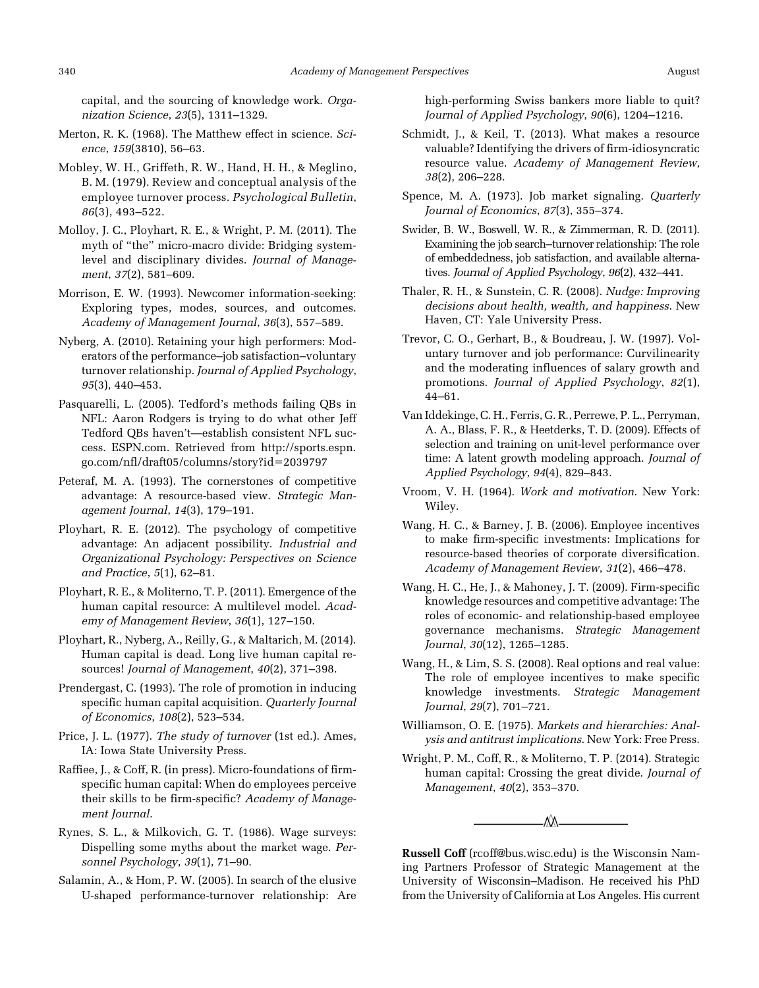<span id="page-14-0"></span>capital, and the sourcing of knowledge work. Organization Science, 23(5), 1311–1329.

- Merton, R. K. (1968). The Matthew effect in science. Science, 159(3810), 56–63.
- Mobley, W. H., Griffeth, R. W., Hand, H. H., & Meglino, B. M. (1979). Review and conceptual analysis of the employee turnover process. Psychological Bulletin, 86(3), 493–522.
- Molloy, J. C., Ployhart, R. E., & Wright, P. M. (2011). The myth of "the" micro-macro divide: Bridging systemlevel and disciplinary divides. Journal of Management, 37(2), 581–609.
- Morrison, E. W. (1993). Newcomer information-seeking: Exploring types, modes, sources, and outcomes. Academy of Management Journal, 36(3), 557–589.
- Nyberg, A. (2010). Retaining your high performers: Moderators of the performance–job satisfaction–voluntary turnover relationship. Journal of Applied Psychology, 95(3), 440–453.
- Pasquarelli, L. (2005). Tedford's methods failing QBs in NFL: Aaron Rodgers is trying to do what other Jeff Tedford QBs haven't—establish consistent NFL success. ESPN.com. Retrieved from [http://sports.espn.](http://sports.espn.go.com/nfl/draft05/columns/story?id=2039797) [go.com/nfl/draft05/columns/story?id](http://sports.espn.go.com/nfl/draft05/columns/story?id=2039797)=[2039797](http://sports.espn.go.com/nfl/draft05/columns/story?id=2039797)
- Peteraf, M. A. (1993). The cornerstones of competitive advantage: A resource-based view. Strategic Management Journal, 14(3), 179–191.
- Ployhart, R. E. (2012). The psychology of competitive advantage: An adjacent possibility. Industrial and Organizational Psychology: Perspectives on Science and Practice, 5(1), 62–81.
- Ployhart, R. E., & Moliterno, T. P. (2011). Emergence of the human capital resource: A multilevel model. Academy of Management Review, 36(1), 127–150.
- Ployhart, R., Nyberg, A., Reilly, G., & Maltarich, M. (2014). Human capital is dead. Long live human capital resources! Journal of Management, 40(2), 371–398.
- Prendergast, C. (1993). The role of promotion in inducing specific human capital acquisition. Quarterly Journal of Economics, 108(2), 523–534.
- Price, J. L. (1977). The study of turnover (1st ed.). Ames, IA: Iowa State University Press.
- Raffiee, J., & Coff, R. (in press). Micro-foundations of firmspecific human capital: When do employees perceive their skills to be firm-specific? Academy of Management Journal.
- Rynes, S. L., & Milkovich, G. T. (1986). Wage surveys: Dispelling some myths about the market wage. Personnel Psychology, 39(1), 71–90.
- Salamin, A., & Hom, P. W. (2005). In search of the elusive U-shaped performance-turnover relationship: Are

high-performing Swiss bankers more liable to quit? Journal of Applied Psychology, 90(6), 1204–1216.

- Schmidt, J., & Keil, T. (2013). What makes a resource valuable? Identifying the drivers of firm-idiosyncratic resource value. Academy of Management Review, 38(2), 206–228.
- Spence, M. A. (1973). Job market signaling. Quarterly Journal of Economics, 87(3), 355–374.
- Swider, B. W., Boswell, W. R., & Zimmerman, R. D. (2011). Examining the job search–turnover relationship: The role of embeddedness, job satisfaction, and available alternatives. Journal of Applied Psychology, 96(2), 432–441.
- Thaler, R. H., & Sunstein, C. R. (2008). Nudge: Improving decisions about health, wealth, and happiness. New Haven, CT: Yale University Press.
- Trevor, C. O., Gerhart, B., & Boudreau, J. W. (1997). Voluntary turnover and job performance: Curvilinearity and the moderating influences of salary growth and promotions. Journal of Applied Psychology, 82(1), 44–61.
- Van Iddekinge, C. H., Ferris, G. R., Perrewe, P. L., Perryman, A. A., Blass, F. R., & Heetderks, T. D. (2009). Effects of selection and training on unit-level performance over time: A latent growth modeling approach. Journal of Applied Psychology, 94(4), 829–843.
- Vroom, V. H. (1964). Work and motivation. New York: Wiley.
- Wang, H. C., & Barney, J. B. (2006). Employee incentives to make firm-specific investments: Implications for resource-based theories of corporate diversification. Academy of Management Review, 31(2), 466–478.
- Wang, H. C., He, J., & Mahoney, J. T. (2009). Firm-specific knowledge resources and competitive advantage: The roles of economic- and relationship-based employee governance mechanisms. Strategic Management Journal, 30(12), 1265–1285.
- Wang, H., & Lim, S. S. (2008). Real options and real value: The role of employee incentives to make specific knowledge investments. Strategic Management Journal, 29(7), 701–721.
- Williamson, O. E. (1975). Markets and hierarchies: Analysis and antitrust implications. New York: Free Press.
- Wright, P. M., Coff, R., & Moliterno, T. P. (2014). Strategic human capital: Crossing the great divide. Journal of Management, 40(2), 353–370.



Russell Coff [\(rcoff@bus.wisc.edu\)](mailto:rcoff@bus.wisc.edu) is the Wisconsin Naming Partners Professor of Strategic Management at the University of Wisconsin–Madison. He received his PhD from the University of California at Los Angeles. His current